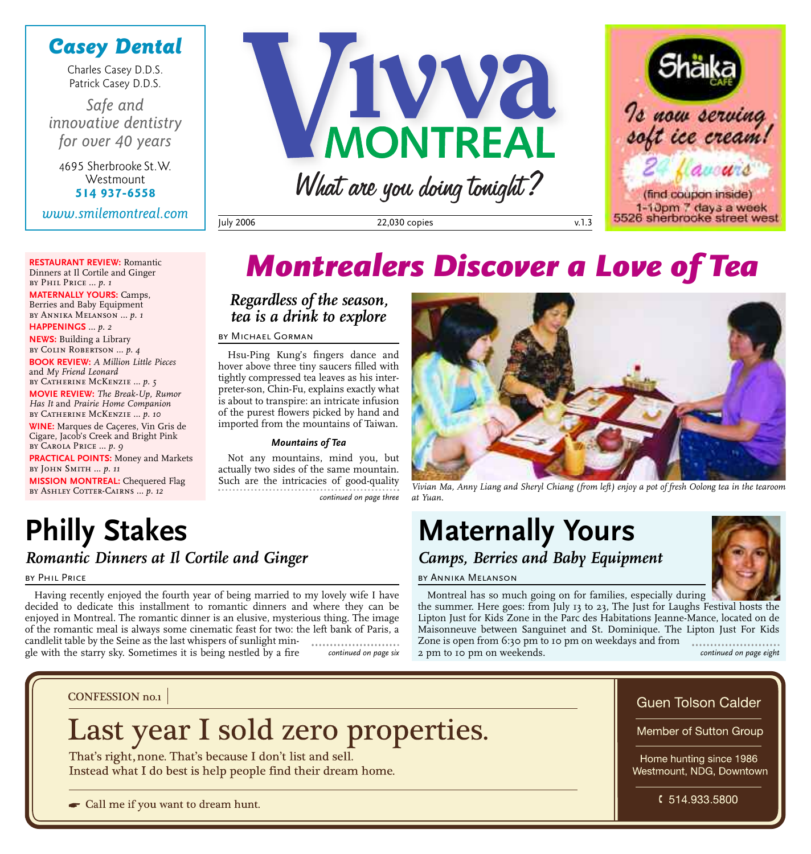### *Casey Dental*

Charles Casey D.D.S. Patrick Casey D.D.S.

*Safe and innovative dentistry for over 40 years*

4695 Sherbrooke St.W. **Westmount 514 937-6558**

*www.smilemontreal.com*

**RESTAURANT REVIEW:** Romantic Dinners at Il Cortile and Ginger

**MATERNALLY YOURS:** Camps, Berries and Baby Equipment by Annika Melanson … *p. 1* **HAPPENINGS** … *p. 2* **NEWS:** Building a Library by Colin Robertson … *p. 4*

**BOOK REVIEW:** *A Million Little Pieces*

BY CATHERINE MCKENZIE ...  $p. 5$ **MOVIE REVIEW:** *The Break-Up, Rumor Has It* and *Prairie Home Companion* by Catherine McKenzie … *p. 10* **WINE:** Marques de Caçeres, Vin Gris de Cigare, Jacob's Creek and Bright Pink

by Phil Price … *p. 1*

and *My Friend Leonard*

by Carola Price … *p. 9*

by John Smith … *p. 11*





July 2006 22,030 copies v.1.3

## *Montrealers Discover a Love of Tea*

#### *Regardless of the season, tea is a drink to explore*

by Michael Gorman

Hsu-Ping Kung's fingers dance and hover above three tiny saucers filled with tightly compressed tea leaves as his interpreter-son, Chin-Fu, explains exactly what is about to transpire: an intricate infusion of the purest flowers picked by hand and imported from the mountains of Taiwan.

#### *Mountains of Tea*

Not any mountains, mind you, but actually two sides of the same mountain. Such are the intricacies of good-quality *continued on page three*

## **Philly Stakes**

**PRACTICAL POINTS:** Money and Markets

**MISSION MONTREAL:** Chequered Flag BY ASHLEY COTTER-CAIRNS ...  $p.$  12

### *Romantic Dinners at Il Cortile and Ginger*

#### by Phil Price

Having recently enjoyed the fourth year of being married to my lovely wife I have decided to dedicate this installment to romantic dinners and where they can be enjoyed in Montreal. The romantic dinner is an elusive, mysterious thing. The image of the romantic meal is always some cinematic feast for two: the left bank of Paris, a candlelit table by the Seine as the last whispers of sunlight mingle with the starry sky. Sometimes it is being nestled by a fire



*Vivian Ma, Anny Liang and Sheryl Chiang (from left) enjoy a pot of fresh Oolong tea in the tearoom at Yuan.*

## **Maternally Yours** *Camps, Berries and Baby Equipment*



Montreal has so much going on for families, especially during the summer. Here goes: from July 13 to 23, The Just for Laughs Festival hosts the Lipton Just for Kids Zone in the Parc des Habitations Jeanne-Mance, located on de Maisonneuve between Sanguinet and St. Dominique. The Lipton Just For Kids Zone is open from 6:30 pm to 10 pm on weekdays and from ................ 2 pm to 10 pm on weekends. *continued on page six continued on page eight*

**CONFESSION no.1** 

## Last year I sold zero properties.

That's right, none. That's because I don't list and sell. Instead what I do best is help people find their dream home.

Call me if you want to dream hunt.

#### **Guen Tolson Calder**

Member of Sutton Group

Home hunting since 1986 Westmount, NDG, Downtown

\$514.933.5800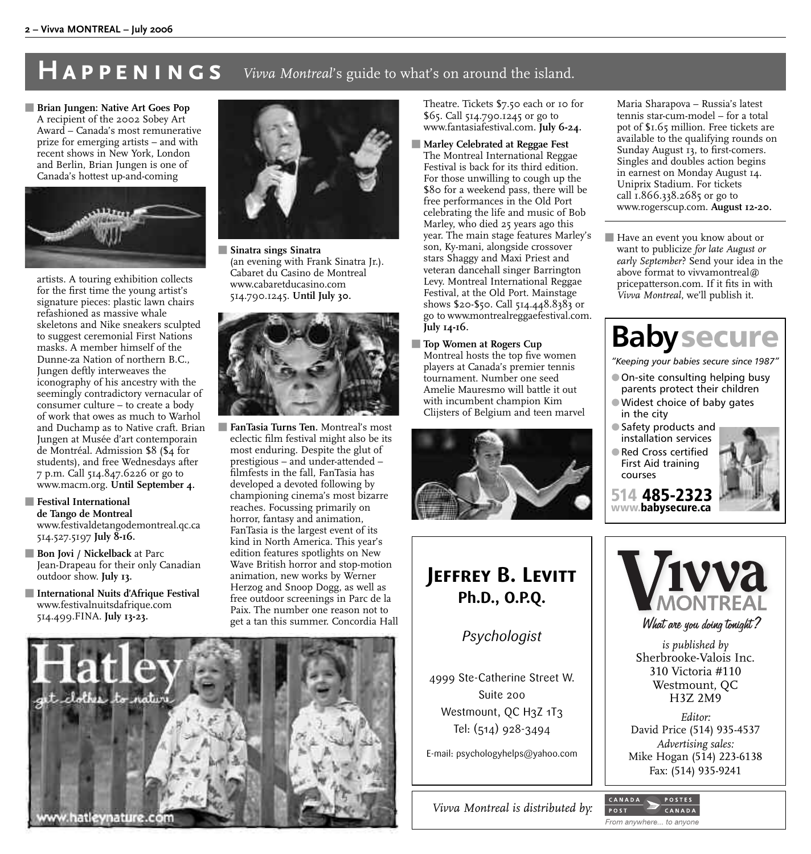### **HAPPENINGS** *Vivva Montreal's guide to what's on around the island.*

**Brian Jungen: Native Art Goes Pop** A recipient of the 2002 Sobey Art Award – Canada's most remunerative prize for emerging artists – and with recent shows in New York, London and Berlin, Brian Jungen is one of Canada's hottest up-and-coming



artists. A touring exhibition collects for the first time the young artist's signature pieces: plastic lawn chairs refashioned as massive whale skeletons and Nike sneakers sculpted to suggest ceremonial First Nations masks. A member himself of the Dunne-za Nation of northern B.C., Jungen deftly interweaves the iconography of his ancestry with the seemingly contradictory vernacular of consumer culture – to create a body of work that owes as much to Warhol and Duchamp as to Native craft. Brian Jungen at Musée d'art contemporain de Montréal. Admission \$8 (\$4 for students), and free Wednesdays after 7 p.m. Call 514.847.6226 or go to www.macm.org. **Until September 4.**

#### **Festival International de Tango de Montreal** www.festivaldetangodemontreal.qc.ca 514.527.5197 **July 8-16.**

- **Bon Jovi / Nickelback** at Parc Jean-Drapeau for their only Canadian outdoor show. **July 13.**
- **Figure 1** International Nuits d'Afrique Festival www.festivalnuitsdafrique.com 514.499.FINA. **July 13-23.**



5 **Sinatra sings Sinatra** (an evening with Frank Sinatra Jr.). Cabaret du Casino de Montreal www.cabaretducasino.com 514.790.1245. **Until July 30.**



5 **FanTasia Turns Ten.** Montreal's most eclectic film festival might also be its most enduring. Despite the glut of prestigious – and under-attended – filmfests in the fall, FanTasia has developed a devoted following by championing cinema's most bizarre reaches. Focussing primarily on horror, fantasy and animation, FanTasia is the largest event of its kind in North America. This year's edition features spotlights on New Wave British horror and stop-motion animation, new works by Werner Herzog and Snoop Dogg, as well as free outdoor screenings in Parc de la Paix. The number one reason not to get a tan this summer. Concordia Hall Theatre. Tickets \$7.50 each or 10 for \$65. Call 514.790.1245 or go to www.fantasiafestival.com. **July 6-24.**

- $\blacksquare$  **Marley Celebrated at Reggae Fest** The Montreal International Reggae Festival is back for its third edition. For those unwilling to cough up the \$80 for a weekend pass, there will be free performances in the Old Port celebrating the life and music of Bob Marley, who died 25 years ago this year. The main stage features Marley's son, Ky-mani, alongside crossover stars Shaggy and Maxi Priest and veteran dancehall singer Barrington Levy. Montreal International Reggae Festival, at the Old Port. Mainstage shows \$20-\$50. Call 514.448.8383 or go to www.montrealreggaefestival.com. **July 14-16.**
- **Top Women at Rogers Cup** Montreal hosts the top five women players at Canada's premier tennis tournament. Number one seed Amelie Mauresmo will battle it out with incumbent champion Kim Clijsters of Belgium and teen marvel



## **JEFFREY B. LEVITT Ph.D., O.P.Q.**

### *Psychologist*

4999 Ste-Catherine Street W. Suite 200 Westmount, QC H3Z 1T3 Tel: (514) 928-3494

E-mail: psychologyhelps@yahoo.com

*Vivva Montreal is distributed by:*

Maria Sharapova – Russia's latest tennis star-cum-model – for a total pot of \$1.65 million. Free tickets are available to the qualifying rounds on Sunday August 13, to first-comers. Singles and doubles action begins in earnest on Monday August 14. Uniprix Stadium. For tickets call 1.866.338.2685 or go to www.rogerscup.com. **August 12-20.**

**Have an event you know about or** want to publicize *for late August or early September*? Send your idea in the above format to vivvamontreal@ pricepatterson.com. If it fits in with *Vivva Montreal*, we'll publish it.

## **Babysecure**

*"Keeping your babies secure since 1987"*

- **On-site consulting helping busy** parents protect their children 2Widest choice of baby gates
- in the city ● Safety products and
- installation services Red Cross certified First Aid training
- courses



**514 485-2323 www.babysecure.ca**

POST



CANADA

From anywhere... to anyone

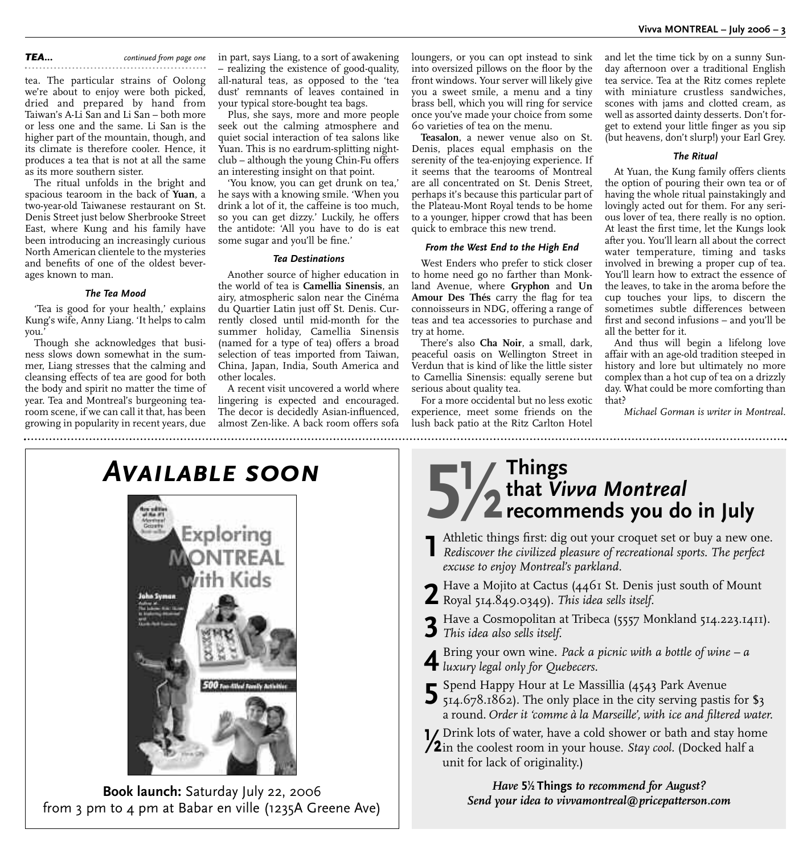#### *TEA... continued from page one*

tea. The particular strains of Oolong we're about to enjoy were both picked, dried and prepared by hand from Taiwan's A-Li San and Li San – both more or less one and the same. Li San is the higher part of the mountain, though, and its climate is therefore cooler. Hence, it produces a tea that is not at all the same as its more southern sister.

The ritual unfolds in the bright and spacious tearoom in the back of **Yuan**, a two-year-old Taiwanese restaurant on St. Denis Street just below Sherbrooke Street East, where Kung and his family have been introducing an increasingly curious North American clientele to the mysteries and benefits of one of the oldest beverages known to man.

#### *The Tea Mood*

'Tea is good for your health,' explains Kung's wife, Anny Liang. 'It helps to calm you.'

Though she acknowledges that business slows down somewhat in the summer, Liang stresses that the calming and cleansing effects of tea are good for both the body and spirit no matter the time of year. Tea and Montreal's burgeoning tearoom scene, if we can call it that, has been growing in popularity in recent years, due

in part, says Liang, to a sort of awakening – realizing the existence of good-quality, all-natural teas, as opposed to the 'tea dust' remnants of leaves contained in your typical store-bought tea bags.

Plus, she says, more and more people seek out the calming atmosphere and quiet social interaction of tea salons like Yuan. This is no eardrum-splitting nightclub – although the young Chin-Fu offers an interesting insight on that point.

'You know, you can get drunk on tea,' he says with a knowing smile. 'When you drink a lot of it, the caffeine is too much, so you can get dizzy.' Luckily, he offers the antidote: 'All you have to do is eat some sugar and you'll be fine.'

#### *Tea Destinations*

Another source of higher education in the world of tea is **Camellia Sinensis**, an airy, atmospheric salon near the Cinéma du Quartier Latin just off St. Denis. Currently closed until mid-month for the summer holiday, Camellia Sinensis (named for a type of tea) offers a broad selection of teas imported from Taiwan, China, Japan, India, South America and other locales.

A recent visit uncovered a world where lingering is expected and encouraged. The decor is decidedly Asian-influenced, almost Zen-like. A back room offers sofa loungers, or you can opt instead to sink into oversized pillows on the floor by the front windows. Your server will likely give you a sweet smile, a menu and a tiny brass bell, which you will ring for service once you've made your choice from some 60 varieties of tea on the menu.

**Teasalon**, a newer venue also on St. Denis, places equal emphasis on the serenity of the tea-enjoying experience. If it seems that the tearooms of Montreal are all concentrated on St. Denis Street, perhaps it's because this particular part of the Plateau-Mont Royal tends to be home to a younger, hipper crowd that has been quick to embrace this new trend.

#### *From the West End to the High End*

West Enders who prefer to stick closer to home need go no farther than Monkland Avenue, where **Gryphon** and **Un Amour Des Thés** carry the flag for tea connoisseurs in NDG, offering a range of teas and tea accessories to purchase and try at home.

There's also **Cha Noir**, a small, dark, peaceful oasis on Wellington Street in Verdun that is kind of like the little sister to Camellia Sinensis: equally serene but serious about quality tea.

For a more occidental but no less exotic experience, meet some friends on the lush back patio at the Ritz Carlton Hotel

and let the time tick by on a sunny Sunday afternoon over a traditional English tea service. Tea at the Ritz comes replete with miniature crustless sandwiches, scones with jams and clotted cream, as well as assorted dainty desserts. Don't forget to extend your little finger as you sip (but heavens, don't slurp!) your Earl Grey.

#### *The Ritual*

At Yuan, the Kung family offers clients the option of pouring their own tea or of having the whole ritual painstakingly and lovingly acted out for them. For any serious lover of tea, there really is no option. At least the first time, let the Kungs look after you. You'll learn all about the correct water temperature, timing and tasks involved in brewing a proper cup of tea. You'll learn how to extract the essence of the leaves, to take in the aroma before the cup touches your lips, to discern the sometimes subtle differences between first and second infusions – and you'll be all the better for it.

And thus will begin a lifelong love affair with an age-old tradition steeped in history and lore but ultimately no more complex than a hot cup of tea on a drizzly day. What could be more comforting than that?

*Michael Gorman is writer in Montreal.*



**Book launch:** Saturday July 22, 2006 from 3 pm to 4 pm at Babar en ville (1235A Greene Ave)

## **5**<sup>*/*</sup>/<sub>2</sub> that *Vi* recommended **that** *Vivva Montreal* **recommends you do in July**

- **1** Athletic things first: dig out your croquet set or buy a new one. *Rediscover the civilized pleasure of recreational sports. The perfect excuse to enjoy Montreal's parkland.*
- **2** Have a Mojito at Cactus (4461 St. Denis just south of Mount Royal 514.849.0349). *This idea sells itself.*
- **3** Have a Cosmopolitan at Tribeca (5557 Monkland 514.223.1411). *This idea also sells itself.*
- **4** Bring your own wine. *Pack a picnic with a bottle of wine a luxury legal only for Quebecers.*
- 
- 5 Spend Happy Hour at Le Massillia (4543 Park Avenue<br>5 514.678.1862). The only place in the city serving pastis for \$3 a round. *Order it 'comme à la Marseille', with ice and filtered water.*

**1/2** Drink lots of water, have a cold shower or bath and stay home<br>**12** in the coolest room in your house. *Stay cool*. (Docked half a unit for lack of originality.)

> *Have* **5- Things** *to recommend for August? Send your idea to vivvamontreal@pricepatterson.com*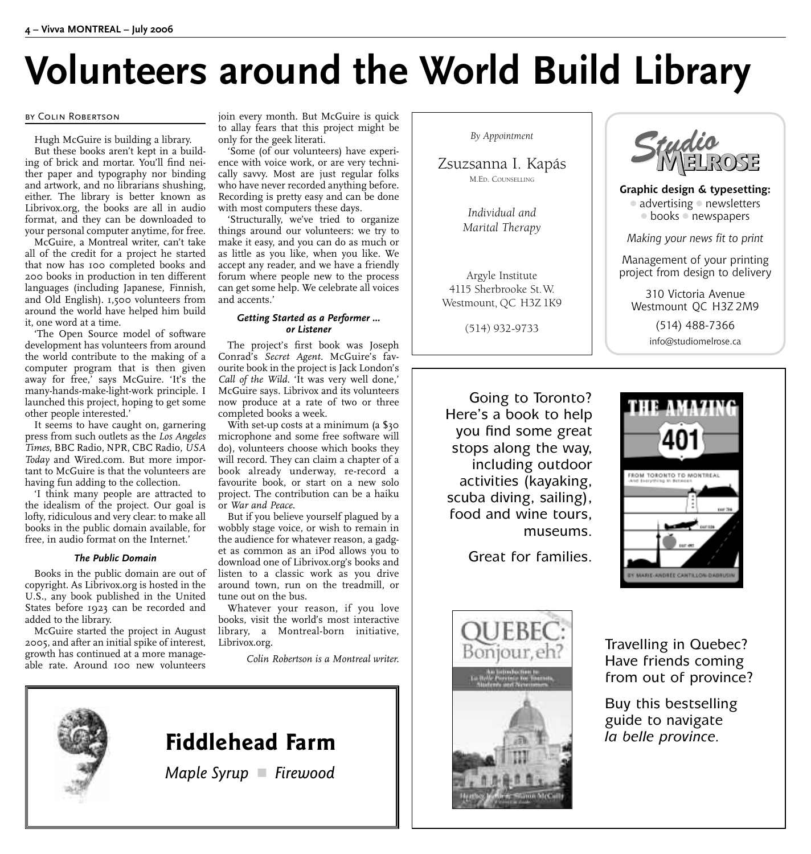## **Volunteers around the World Build Library**

#### by Colin Robertson

Hugh McGuire is building a library.

But these books aren't kept in a building of brick and mortar. You'll find neither paper and typography nor binding and artwork, and no librarians shushing, either. The library is better known as Librivox.org, the books are all in audio format, and they can be downloaded to your personal computer anytime, for free.

McGuire, a Montreal writer, can't take all of the credit for a project he started that now has 100 completed books and 200 books in production in ten different languages (including Japanese, Finnish, and Old English). 1,500 volunteers from around the world have helped him build it, one word at a time.

'The Open Source model of software development has volunteers from around the world contribute to the making of a computer program that is then given away for free,' says McGuire. 'It's the many-hands-make-light-work principle. I launched this project, hoping to get some other people interested.'

It seems to have caught on, garnering press from such outlets as the *Los Angeles Times*, BBC Radio, NPR, CBC Radio, *USA Today* and Wired.com. But more important to McGuire is that the volunteers are having fun adding to the collection.

'I think many people are attracted to the idealism of the project. Our goal is lofty, ridiculous and very clear: to make all books in the public domain available, for free, in audio format on the Internet.'

#### *The Public Domain*

Books in the public domain are out of copyright. As Librivox.org is hosted in the U.S., any book published in the United States before 1923 can be recorded and added to the library.

McGuire started the project in August 2005, and after an initial spike of interest, growth has continued at a more manageable rate. Around 100 new volunteers

join every month. But McGuire is quick to allay fears that this project might be only for the geek literati.

'Some (of our volunteers) have experience with voice work, or are very technically savvy. Most are just regular folks who have never recorded anything before. Recording is pretty easy and can be done with most computers these days.

'Structurally, we've tried to organize things around our volunteers: we try to make it easy, and you can do as much or as little as you like, when you like. We accept any reader, and we have a friendly forum where people new to the process can get some help. We celebrate all voices and accents.'

#### *Getting Started as a Performer ... or Listener*

The project's first book was Joseph Conrad's *Secret Agent*. McGuire's favourite book in the project is Jack London's *Call of the Wild*. 'It was very well done,' McGuire says. Librivox and its volunteers now produce at a rate of two or three completed books a week.

With set-up costs at a minimum (a \$30 microphone and some free software will do), volunteers choose which books they will record. They can claim a chapter of a book already underway, re-record a favourite book, or start on a new solo project. The contribution can be a haiku or *War and Peace*.

But if you believe yourself plagued by a wobbly stage voice, or wish to remain in the audience for whatever reason, a gadget as common as an iPod allows you to download one of Librivox.org's books and listen to a classic work as you drive around town, run on the treadmill, or tune out on the bus.

Whatever your reason, if you love books, visit the world's most interactive library, a Montreal-born initiative, Librivox.org.

*Colin Robertson is a Montreal writer.*



Zsuzsanna I. Kapás M.ED. COUNSELLING

> *Individual and Marital Therapy*

Argyle Institute 4115 Sherbrooke St.W. Westmount, QC H3Z 1K9

(514) 932-9733

Going to Toronto? Here's a book to help you find some great stops along the way, including outdoor activities (kayaking, scuba diving, sailing), food and wine tours, museums.

Great for families.



**Graphic design & typesetting:**  $\circ$  advertising  $\circ$  newsletters  $\circ$  books  $\circ$  newspapers

*Making your news fit to print*

Management of your printing project from design to delivery

310 Victoria Avenue Westmount QC H3Z 2M9

> (514) 488-7366 info@studiomelrose.ca





Travelling in Quebec? Have friends coming from out of province?

Buy this bestselling guide to navigate *la belle province.*



### **Fiddlehead Farm**

*Maple Syrup* 4 *Firewood*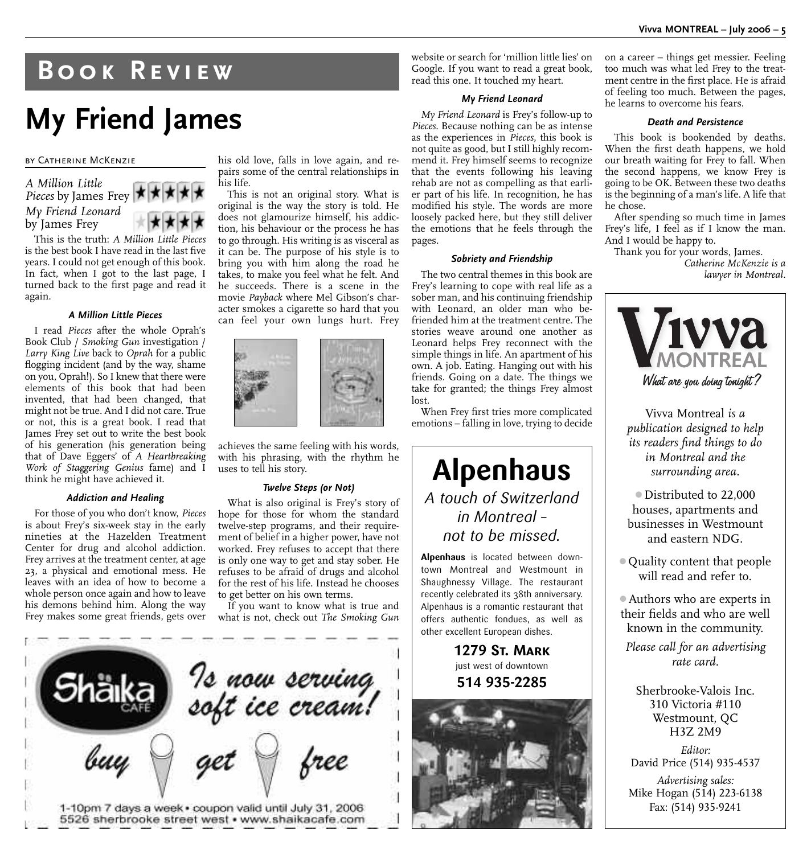## **Book Review**

## **My Friend James**

#### by Catherine McKenzie



This is the truth: *A Million Little Pieces* is the best book I have read in the last five years. I could not get enough of this book. In fact, when I got to the last page, I turned back to the first page and read it again.

#### *A Million Little Pieces*

I read *Pieces* after the whole Oprah's Book Club / *Smoking Gun* investigation / *Larry King Live* back to *Oprah* for a public flogging incident (and by the way, shame on you, Oprah!). So I knew that there were elements of this book that had been invented, that had been changed, that might not be true. And I did not care. True or not, this is a great book. I read that James Frey set out to write the best book of his generation (his generation being that of Dave Eggers' of *A Heartbreaking Work of Staggering Genius* fame) and I think he might have achieved it.

#### *Addiction and Healing*

For those of you who don't know, *Pieces* is about Frey's six-week stay in the early nineties at the Hazelden Treatment Center for drug and alcohol addiction. Frey arrives at the treatment center, at age 23, a physical and emotional mess. He leaves with an idea of how to become a whole person once again and how to leave his demons behind him. Along the way Frey makes some great friends, gets over

his old love, falls in love again, and repairs some of the central relationships in his life.

This is not an original story. What is original is the way the story is told. He does not glamourize himself, his addiction, his behaviour or the process he has to go through. His writing is as visceral as it can be. The purpose of his style is to bring you with him along the road he takes, to make you feel what he felt. And he succeeds. There is a scene in the movie *Payback* where Mel Gibson's character smokes a cigarette so hard that you can feel your own lungs hurt. Frey



achieves the same feeling with his words, with his phrasing, with the rhythm he uses to tell his story.

#### *Twelve Steps (or Not)*

What is also original is Frey's story of hope for those for whom the standard twelve-step programs, and their requirement of belief in a higher power, have not worked. Frey refuses to accept that there is only one way to get and stay sober. He refuses to be afraid of drugs and alcohol for the rest of his life. Instead he chooses to get better on his own terms.

If you want to know what is true and what is not, check out *The Smoking Gun*



website or search for 'million little lies' on Google. If you want to read a great book, read this one. It touched my heart.

#### *My Friend Leonard*

*My Friend Leonard* is Frey's follow-up to *Pieces*. Because nothing can be as intense as the experiences in *Pieces*, this book is not quite as good, but I still highly recommend it. Frey himself seems to recognize that the events following his leaving rehab are not as compelling as that earlier part of his life. In recognition, he has modified his style. The words are more loosely packed here, but they still deliver the emotions that he feels through the pages.

#### *Sobriety and Friendship*

The two central themes in this book are Frey's learning to cope with real life as a sober man, and his continuing friendship with Leonard, an older man who befriended him at the treatment centre. The stories weave around one another as Leonard helps Frey reconnect with the simple things in life. An apartment of his own. A job. Eating. Hanging out with his friends. Going on a date. The things we take for granted; the things Frey almost lost.

When Frey first tries more complicated emotions – falling in love, trying to decide

**Alpenhaus** *A touch of Switzerland in Montreal – not to be missed.*

**Alpenhaus** is located between downtown Montreal and Westmount in Shaughnessy Village. The restaurant recently celebrated its 38th anniversary. Alpenhaus is a romantic restaurant that offers authentic fondues, as well as other excellent European dishes.

> **1279 St. Mark** just west of downtown **514 935-2285**



on a career – things get messier. Feeling too much was what led Frey to the treatment centre in the first place. He is afraid of feeling too much. Between the pages, he learns to overcome his fears.

#### *Death and Persistence*

This book is bookended by deaths. When the first death happens, we hold our breath waiting for Frey to fall. When the second happens, we know Frey is going to be OK. Between these two deaths is the beginning of a man's life. A life that he chose.

After spending so much time in James Frey's life, I feel as if I know the man. And I would be happy to.

Thank you for your words, James. *Catherine McKenzie is a lawyer in Montreal.*



Vivva Montreal *is a publication designed to help its readers find things to do in Montreal and the surrounding area.*

• Distributed to 22,000 houses, apartments and businesses in Westmount and eastern NDG.

• Quality content that people will read and refer to.

1Authors who are experts in their fields and who are well known in the community.

*Please call for an advertising rate card.*

Sherbrooke-Valois Inc. 310 Victoria #110 Westmount, QC H3Z 2M9

*Editor:* David Price (514) 935-4537

*Advertising sales:* Mike Hogan (514) 223-6138 Fax: (514) 935-9241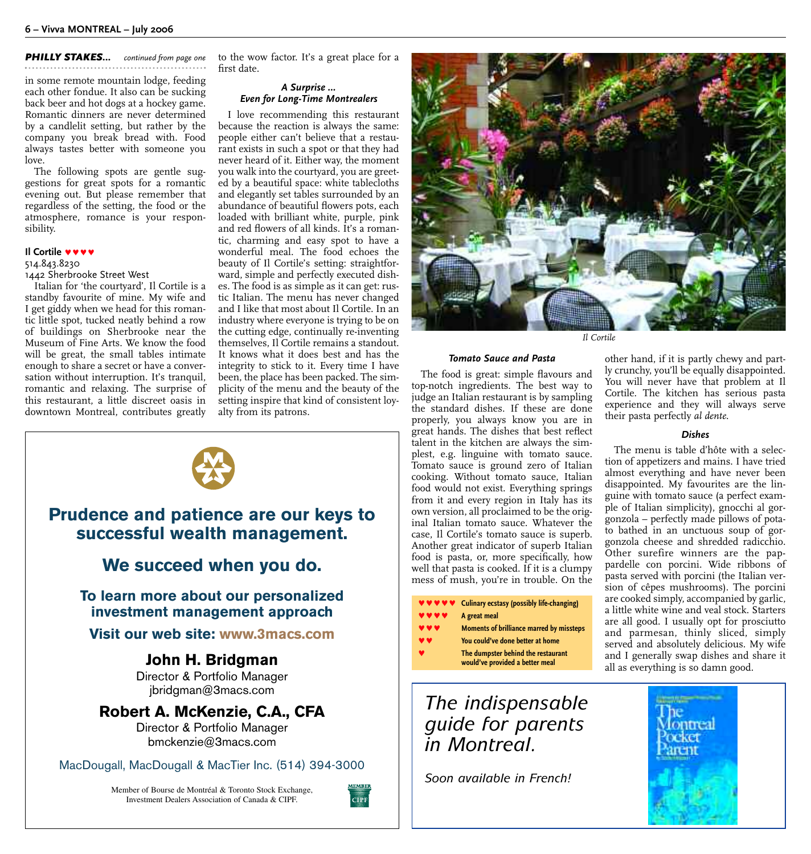*PHILLY STAKES... continued from page one*

in some remote mountain lodge, feeding each other fondue. It also can be sucking back beer and hot dogs at a hockey game. Romantic dinners are never determined by a candlelit setting, but rather by the company you break bread with. Food always tastes better with someone you love.

The following spots are gentle suggestions for great spots for a romantic evening out. But please remember that regardless of the setting, the food or the atmosphere, romance is your responsibility.

#### **Il Cortile <b>vvvv**

#### 514.843.8230

#### 1442 Sherbrooke Street West

Italian for 'the courtyard', Il Cortile is a standby favourite of mine. My wife and I get giddy when we head for this romantic little spot, tucked neatly behind a row of buildings on Sherbrooke near the Museum of Fine Arts. We know the food will be great, the small tables intimate enough to share a secret or have a conversation without interruption. It's tranquil, romantic and relaxing. The surprise of this restaurant, a little discreet oasis in downtown Montreal, contributes greatly to the wow factor. It's a great place for a first date.

#### *A Surprise … Even for Long-Time Montrealers*

I love recommending this restaurant because the reaction is always the same: people either can't believe that a restaurant exists in such a spot or that they had never heard of it. Either way, the moment you walk into the courtyard, you are greeted by a beautiful space: white tablecloths and elegantly set tables surrounded by an abundance of beautiful flowers pots, each loaded with brilliant white, purple, pink and red flowers of all kinds. It's a romantic, charming and easy spot to have a wonderful meal. The food echoes the beauty of Il Cortile's setting: straightforward, simple and perfectly executed dishes. The food is as simple as it can get: rustic Italian. The menu has never changed and I like that most about Il Cortile. In an industry where everyone is trying to be on the cutting edge, continually re-inventing themselves, Il Cortile remains a standout. It knows what it does best and has the integrity to stick to it. Every time I have been, the place has been packed. The simplicity of the menu and the beauty of the setting inspire that kind of consistent loyalty from its patrons.



### **Prudence and patience are our keys to successful wealth management.**

#### **We succeed when you do.**

**To learn more about our personalized investment management approach**

#### **Visit our web site: www.3macs.com**

#### **John H. Bridgman** Director & Portfolio Manager jbridgman@3macs.com

### **Robert A. McKenzie, C.A., CFA**

Director & Portfolio Manager bmckenzie@3macs.com

MacDougall, MacDougall & MacTier Inc. (514) 394-3000

Member of Bourse de Montréal & Toronto Stock Exchange, Investment Dealers Association of Canada & CIPF.





*Il Cortile*

#### *Tomato Sauce and Pasta*

The food is great: simple flavours and top-notch ingredients. The best way to judge an Italian restaurant is by sampling the standard dishes. If these are done properly, you always know you are in great hands. The dishes that best reflect talent in the kitchen are always the simplest, e.g. linguine with tomato sauce. Tomato sauce is ground zero of Italian cooking. Without tomato sauce, Italian food would not exist. Everything springs from it and every region in Italy has its own version, all proclaimed to be the original Italian tomato sauce. Whatever the case, Il Cortile's tomato sauce is superb. Another great indicator of superb Italian food is pasta, or, more specifically, how well that pasta is cooked. If it is a clumpy mess of mush, you're in trouble. On the

#### **♥ ♥** Culinary ecstasy (possibly life-changing)

- A great meal
- **Moments of brilliance marred by missteps**
- You could've done better at home
	- The dumpster behind the restaurant **would've provided a better meal**

*The indispensable guide for parents in Montreal.*

*Soon available in French!*

other hand, if it is partly chewy and partly crunchy, you'll be equally disappointed. You will never have that problem at Il Cortile. The kitchen has serious pasta experience and they will always serve their pasta perfectly *al dente*.

#### *Dishes*

The menu is table d'hôte with a selection of appetizers and mains. I have tried almost everything and have never been disappointed. My favourites are the linguine with tomato sauce (a perfect example of Italian simplicity), gnocchi al gorgonzola – perfectly made pillows of potato bathed in an unctuous soup of gorgonzola cheese and shredded radicchio. Other surefire winners are the pappardelle con porcini. Wide ribbons of pasta served with porcini (the Italian version of cêpes mushrooms). The porcini are cooked simply, accompanied by garlic, a little white wine and veal stock. Starters are all good. I usually opt for prosciutto and parmesan, thinly sliced, simply served and absolutely delicious. My wife and I generally swap dishes and share it all as everything is so damn good.

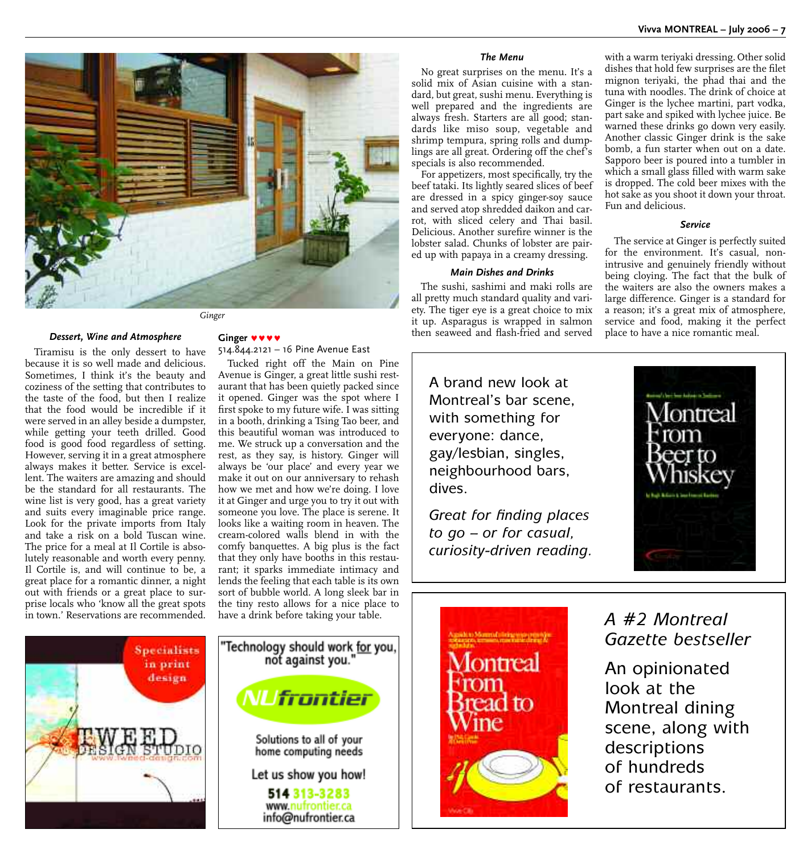

*Dessert, Wine and Atmosphere*

Tiramisu is the only dessert to have because it is so well made and delicious. Sometimes, I think it's the beauty and coziness of the setting that contributes to the taste of the food, but then I realize that the food would be incredible if it were served in an alley beside a dumpster, while getting your teeth drilled. Good food is good food regardless of setting. However, serving it in a great atmosphere always makes it better. Service is excellent. The waiters are amazing and should be the standard for all restaurants. The wine list is very good, has a great variety and suits every imaginable price range. Look for the private imports from Italy and take a risk on a bold Tuscan wine. The price for a meal at Il Cortile is absolutely reasonable and worth every penny. Il Cortile is, and will continue to be, a great place for a romantic dinner, a night out with friends or a great place to surprise locals who 'know all the great spots in town.' Reservations are recommended.

#### Ginger **WWW** 514.844.2121 – 16 Pine Avenue East

Tucked right off the Main on Pine

Avenue is Ginger, a great little sushi restaurant that has been quietly packed since it opened. Ginger was the spot where I first spoke to my future wife. I was sitting in a booth, drinking a Tsing Tao beer, and this beautiful woman was introduced to me. We struck up a conversation and the rest, as they say, is history. Ginger will always be 'our place' and every year we make it out on our anniversary to rehash how we met and how we're doing. I love it at Ginger and urge you to try it out with someone you love. The place is serene. It looks like a waiting room in heaven. The cream-colored walls blend in with the comfy banquettes. A big plus is the fact that they only have booths in this restaurant; it sparks immediate intimacy and lends the feeling that each table is its own sort of bubble world. A long sleek bar in the tiny resto allows for a nice place to have a drink before taking your table.

#### *The Menu*

No great surprises on the menu. It's a solid mix of Asian cuisine with a standard, but great, sushi menu. Everything is well prepared and the ingredients are always fresh. Starters are all good; standards like miso soup, vegetable and shrimp tempura, spring rolls and dumplings are all great. Ordering off the chef's specials is also recommended.

For appetizers, most specifically, try the beef tataki. Its lightly seared slices of beef are dressed in a spicy ginger-soy sauce and served atop shredded daikon and carrot, with sliced celery and Thai basil. Delicious. Another surefire winner is the lobster salad. Chunks of lobster are paired up with papaya in a creamy dressing.

#### *Main Dishes and Drinks*

The sushi, sashimi and maki rolls are all pretty much standard quality and variety. The tiger eye is a great choice to mix it up. Asparagus is wrapped in salmon then seaweed and flash-fried and served

A brand new look at Montreal's bar scene, with something for everyone: dance, gay/lesbian, singles, neighbourhood bars, dives.

*Great for finding places to go – or for casual, curiosity-driven reading.*



#### *Service*

The service at Ginger is perfectly suited for the environment. It's casual, nonintrusive and genuinely friendly without being cloying. The fact that the bulk of the waiters are also the owners makes a large difference. Ginger is a standard for a reason; it's a great mix of atmosphere, service and food, making it the perfect place to have a nice romantic meal.









### *A #2 Montreal Gazette bestseller*

An opinionated look at the Montreal dining scene, along with descriptions of hundreds of restaurants.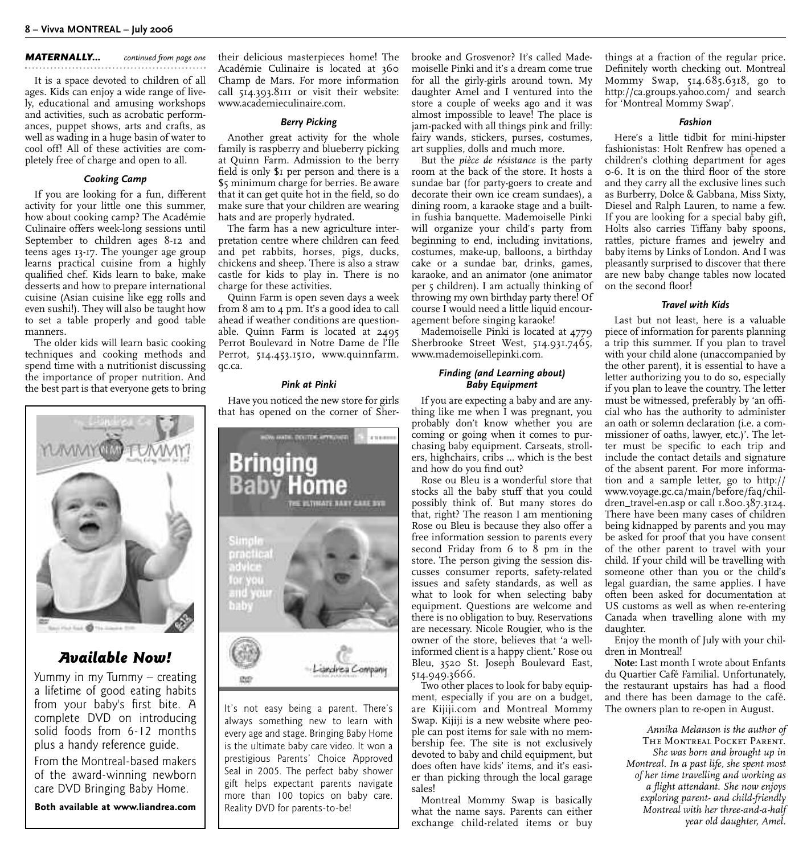#### *MATERNALLY... continued from page one*

It is a space devoted to children of all ages. Kids can enjoy a wide range of lively, educational and amusing workshops and activities, such as acrobatic performances, puppet shows, arts and crafts, as well as wading in a huge basin of water to cool off! All of these activities are completely free of charge and open to all.

#### *Cooking Camp*

If you are looking for a fun, different activity for your little one this summer, how about cooking camp? The Académie Culinaire offers week-long sessions until September to children ages 8-12 and teens ages 13-17. The younger age group learns practical cuisine from a highly qualified chef. Kids learn to bake, make desserts and how to prepare international cuisine (Asian cuisine like egg rolls and even sushi!). They will also be taught how to set a table properly and good table manners.

The older kids will learn basic cooking techniques and cooking methods and spend time with a nutritionist discussing the importance of proper nutrition. And the best part is that everyone gets to bring



#### *Available Now!*

Yummy in my Tummy – creating a lifetime of good eating habits from your baby's first bite. A complete DVD on introducing solid foods from 6-12 months plus a handy reference guide. From the Montreal-based makers of the award-winning newborn care DVD Bringing Baby Home.

**Both available at www.liandrea.com**

their delicious masterpieces home! The Académie Culinaire is located at 360 Champ de Mars. For more information call 514.393.8111 or visit their website: www.academieculinaire.com.

#### *Berry Picking*

Another great activity for the whole family is raspberry and blueberry picking at Quinn Farm. Admission to the berry field is only \$1 per person and there is a \$5 minimum charge for berries. Be aware that it can get quite hot in the field, so do make sure that your children are wearing hats and are properly hydrated.

The farm has a new agriculture interpretation centre where children can feed and pet rabbits, horses, pigs, ducks, chickens and sheep. There is also a straw castle for kids to play in. There is no charge for these activities.

Quinn Farm is open seven days a week from 8 am to 4 pm. It's a good idea to call ahead if weather conditions are questionable. Quinn Farm is located at 2495 Perrot Boulevard in Notre Dame de l'Ile Perrot, 514.453.1510, www.quinnfarm. qc.ca.

#### *Pink at Pinki*

Have you noticed the new store for girls that has opened on the corner of Sher-



It's not easy being a parent. There's always something new to learn with every age and stage. Bringing Baby Home is the ultimate baby care video. It won a prestigious Parents' Choice Approved Seal in 2005. The perfect baby shower gift helps expectant parents navigate more than 100 topics on baby care. Reality DVD for parents-to-be!

brooke and Grosvenor? It's called Mademoiselle Pinki and it's a dream come true for all the girly-girls around town. My daughter Amel and I ventured into the store a couple of weeks ago and it was almost impossible to leave! The place is jam-packed with all things pink and frilly: fairy wands, stickers, purses, costumes, art supplies, dolls and much more.

But the *pièce de résistance* is the party room at the back of the store. It hosts a sundae bar (for party-goers to create and decorate their own ice cream sundaes), a dining room, a karaoke stage and a builtin fushia banquette. Mademoiselle Pinki will organize your child's party from beginning to end, including invitations, costumes, make-up, balloons, a birthday cake or a sundae bar, drinks, games, karaoke, and an animator (one animator per 5 children). I am actually thinking of throwing my own birthday party there! Of course I would need a little liquid encouragement before singing karaoke!

Mademoiselle Pinki is located at 4779 Sherbrooke Street West, 514.931.7465, www.mademoisellepinki.com.

#### *Finding (and Learning about) Baby Equipment*

If you are expecting a baby and are anything like me when I was pregnant, you probably don't know whether you are coming or going when it comes to purchasing baby equipment. Carseats, strollers, highchairs, cribs ... which is the best and how do you find out?

Rose ou Bleu is a wonderful store that stocks all the baby stuff that you could possibly think of. But many stores do that, right? The reason I am mentioning Rose ou Bleu is because they also offer a free information session to parents every second Friday from  $6$  to  $8$  pm in the store. The person giving the session discusses consumer reports, safety-related issues and safety standards, as well as what to look for when selecting baby equipment. Questions are welcome and there is no obligation to buy. Reservations are necessary. Nicole Rougier, who is the owner of the store, believes that 'a wellinformed client is a happy client.' Rose ou Bleu, 3520 St. Joseph Boulevard East, 514.949.3666.

Two other places to look for baby equipment, especially if you are on a budget, are Kijiji.com and Montreal Mommy Swap. Kijiji is a new website where people can post items for sale with no membership fee. The site is not exclusively devoted to baby and child equipment, but does often have kids' items, and it's easier than picking through the local garage sales!

Montreal Mommy Swap is basically what the name says. Parents can either exchange child-related items or buy things at a fraction of the regular price. Definitely worth checking out. Montreal Mommy Swap, 514.685.6318, go to http://ca.groups.yahoo.com/ and search for 'Montreal Mommy Swap'.

#### *Fashion*

Here's a little tidbit for mini-hipster fashionistas: Holt Renfrew has opened a children's clothing department for ages 0-6. It is on the third floor of the store and they carry all the exclusive lines such as Burberry, Dolce & Gabbana, Miss Sixty, Diesel and Ralph Lauren, to name a few. If you are looking for a special baby gift, Holts also carries Tiffany baby spoons, rattles, picture frames and jewelry and baby items by Links of London. And I was pleasantly surprised to discover that there are new baby change tables now located on the second floor!

#### *Travel with Kids*

Last but not least, here is a valuable piece of information for parents planning a trip this summer. If you plan to travel with your child alone (unaccompanied by the other parent), it is essential to have a letter authorizing you to do so, especially if you plan to leave the country. The letter must be witnessed, preferably by 'an official who has the authority to administer an oath or solemn declaration (i.e. a commissioner of oaths, lawyer, etc.)'. The letter must be specific to each trip and include the contact details and signature of the absent parent. For more information and a sample letter, go to http:// www.voyage.gc.ca/main/before/faq/children\_travel-en.asp or call 1.800.387.3124. There have been many cases of children being kidnapped by parents and you may be asked for proof that you have consent of the other parent to travel with your child. If your child will be travelling with someone other than you or the child's legal guardian, the same applies. I have often been asked for documentation at US customs as well as when re-entering Canada when travelling alone with my daughter.

Enjoy the month of July with your children in Montreal!

**Note:** Last month I wrote about Enfants du Quartier Café Familial. Unfortunately, the restaurant upstairs has had a flood and there has been damage to the café. The owners plan to re-open in August.

> *Annika Melanson is the author of* The Montreal Pocket Parent. *She was born and brought up in Montreal. In a past life, she spent most of her time travelling and working as a flight attendant. She now enjoys exploring parent- and child-friendly Montreal with her three-and-a-half year old daughter, Amel.*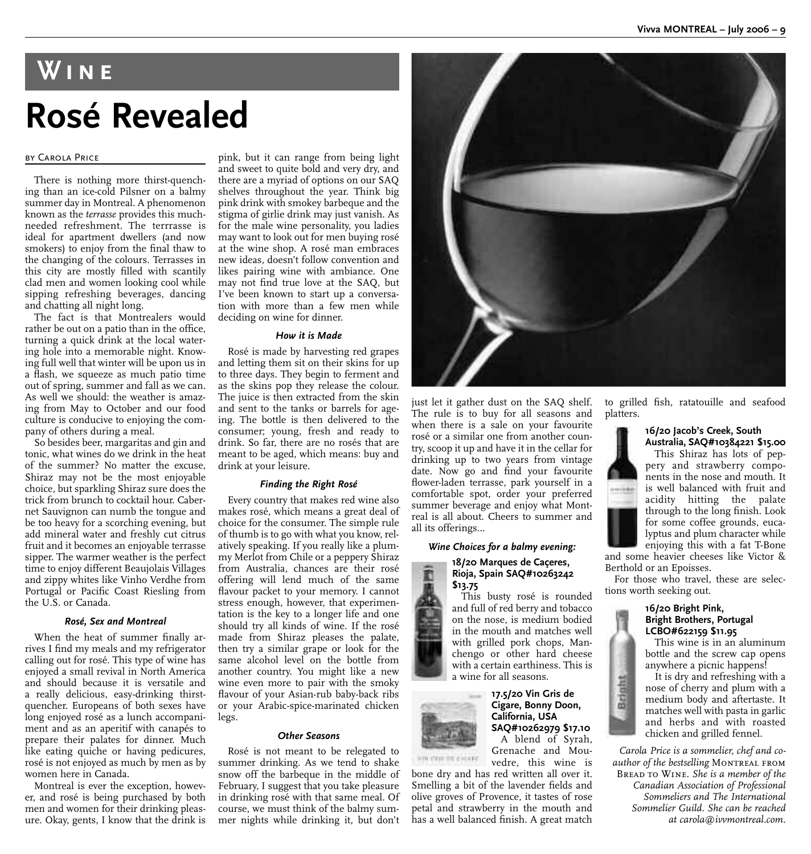## **Wine Rosé Revealed**

#### by Carola Price

There is nothing more thirst-quenching than an ice-cold Pilsner on a balmy summer day in Montreal. A phenomenon known as the *terrasse* provides this muchneeded refreshment. The terrrasse is ideal for apartment dwellers (and now smokers) to enjoy from the final thaw to the changing of the colours. Terrasses in this city are mostly filled with scantily clad men and women looking cool while sipping refreshing beverages, dancing and chatting all night long.

The fact is that Montrealers would rather be out on a patio than in the office, turning a quick drink at the local watering hole into a memorable night. Knowing full well that winter will be upon us in a flash, we squeeze as much patio time out of spring, summer and fall as we can. As well we should: the weather is amazing from May to October and our food culture is conducive to enjoying the company of others during a meal.

So besides beer, margaritas and gin and tonic, what wines do we drink in the heat of the summer? No matter the excuse, Shiraz may not be the most enjoyable choice, but sparkling Shiraz sure does the trick from brunch to cocktail hour. Cabernet Sauvignon can numb the tongue and be too heavy for a scorching evening, but add mineral water and freshly cut citrus fruit and it becomes an enjoyable terrasse sipper. The warmer weather is the perfect time to enjoy different Beaujolais Villages and zippy whites like Vinho Verdhe from Portugal or Pacific Coast Riesling from the U.S. or Canada.

#### *Rosé, Sex and Montreal*

When the heat of summer finally arrives I find my meals and my refrigerator calling out for rosé. This type of wine has enjoyed a small revival in North America and should because it is versatile and a really delicious, easy-drinking thirstquencher. Europeans of both sexes have long enjoyed rosé as a lunch accompaniment and as an aperitif with canapés to prepare their palates for dinner. Much like eating quiche or having pedicures, rosé is not enjoyed as much by men as by women here in Canada.

Montreal is ever the exception, however, and rosé is being purchased by both men and women for their drinking pleasure. Okay, gents, I know that the drink is

pink, but it can range from being light and sweet to quite bold and very dry, and there are a myriad of options on our SAQ shelves throughout the year. Think big pink drink with smokey barbeque and the stigma of girlie drink may just vanish. As for the male wine personality, you ladies may want to look out for men buying rosé at the wine shop. A rosé man embraces new ideas, doesn't follow convention and likes pairing wine with ambiance. One may not find true love at the SAQ, but I've been known to start up a conversation with more than a few men while deciding on wine for dinner.

#### *How it is Made*

Rosé is made by harvesting red grapes and letting them sit on their skins for up to three days. They begin to ferment and as the skins pop they release the colour. The juice is then extracted from the skin and sent to the tanks or barrels for ageing. The bottle is then delivered to the consumer; young, fresh and ready to drink. So far, there are no rosés that are meant to be aged, which means: buy and drink at your leisure.

#### *Finding the Right Rosé*

Every country that makes red wine also makes rosé, which means a great deal of choice for the consumer. The simple rule of thumb is to go with what you know, relatively speaking. If you really like a plummy Merlot from Chile or a peppery Shiraz from Australia, chances are their rosé offering will lend much of the same flavour packet to your memory. I cannot stress enough, however, that experimentation is the key to a longer life and one should try all kinds of wine. If the rosé made from Shiraz pleases the palate, then try a similar grape or look for the same alcohol level on the bottle from another country. You might like a new wine even more to pair with the smoky flavour of your Asian-rub baby-back ribs or your Arabic-spice-marinated chicken legs.

#### *Other Seasons*

Rosé is not meant to be relegated to summer drinking. As we tend to shake snow off the barbeque in the middle of February, I suggest that you take pleasure in drinking rosé with that same meal. Of course, we must think of the balmy summer nights while drinking it, but don't



just let it gather dust on the SAQ shelf. The rule is to buy for all seasons and when there is a sale on your favourite rosé or a similar one from another country, scoop it up and have it in the cellar for drinking up to two years from vintage date. Now go and find your favourite flower-laden terrasse, park yourself in a comfortable spot, order your preferred summer beverage and enjoy what Montreal is all about. Cheers to summer and all its offerings…

#### *Wine Choices for a balmy evening:*

#### **18/20 Marques de Caçeres, Rioja, Spain SAQ#10263242 \$13.75**

This busty rosé is rounded and full of red berry and tobacco on the nose, is medium bodied in the mouth and matches well with grilled pork chops, Manchengo or other hard cheese with a certain earthiness. This is a wine for all seasons.

#### **17.5/20 Vin Gris de Cigare, Bonny Doon, California, USA SAQ#10262979 \$17.10** A blend of Syrah,

Grenache and Mouvedre, this wine is

bone dry and has red written all over it. Smelling a bit of the lavender fields and olive groves of Provence, it tastes of rose petal and strawberry in the mouth and has a well balanced finish. A great match to grilled fish, ratatouille and seafood platters.

#### **16/20 Jacob's Creek, South Australia, SAQ#10384221 \$15.00**



Brigatt

This Shiraz has lots of peppery and strawberry components in the nose and mouth. It is well balanced with fruit and acidity hitting the palate through to the long finish. Look for some coffee grounds, eucalyptus and plum character while enjoying this with a fat T-Bone

and some heavier cheeses like Victor & Berthold or an Epoisses.

For those who travel, these are selections worth seeking out.

#### **16/20 Bright Pink, Bright Brothers, Portugal LCBO#622159 \$11.95**

This wine is in an aluminum bottle and the screw cap opens anywhere a picnic happens!

It is dry and refreshing with a nose of cherry and plum with a medium body and aftertaste. It matches well with pasta in garlic and herbs and with roasted chicken and grilled fennel.

*Carola Price is a sommelier, chef and co*author of the bestselling MONTREAL FROM Bread to Wine. *She is a member of the Canadian Association of Professional Sommeliers and The International Sommelier Guild. She can be reached at carola@ivvmontreal.com.*

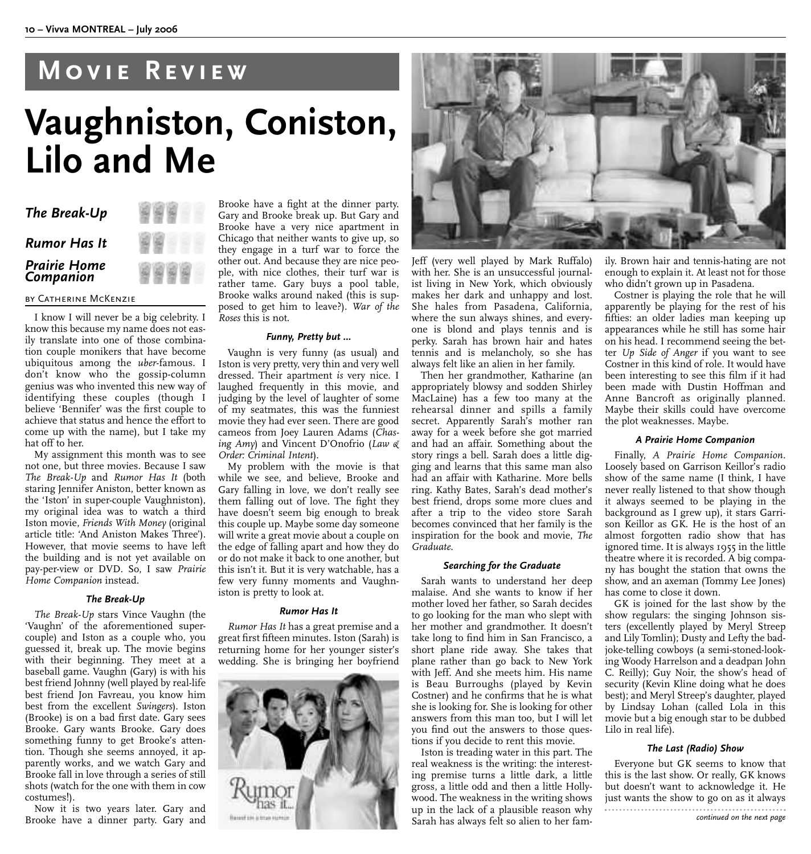## **Movie Review**

## **Vaughniston, Coniston, Lilo and Me**

| The Break-Up                      |  |
|-----------------------------------|--|
| <b>Rumor Has It</b>               |  |
| <b>Prairie Home<br/>Companion</b> |  |

#### by Catherine McKenzie

I know I will never be a big celebrity. I know this because my name does not easily translate into one of those combination couple monikers that have become ubiquitous among the *uber*-famous. I don't know who the gossip-column genius was who invented this new way of identifying these couples (though I believe 'Bennifer' was the first couple to achieve that status and hence the effort to come up with the name), but I take my hat off to her.

My assignment this month was to see not one, but three movies. Because I saw *The Break-Up* and *Rumor Has It* (both staring Jennifer Aniston, better known as the 'Iston' in super-couple Vaughniston), my original idea was to watch a third Iston movie, *Friends With Money* (original article title: 'And Aniston Makes Three'). However, that movie seems to have left the building and is not yet available on pay-per-view or DVD. So, I saw *Prairie Home Companion* instead.

#### *The Break-Up*

*The Break-Up* stars Vince Vaughn (the 'Vaughn' of the aforementioned supercouple) and Iston as a couple who, you guessed it, break up. The movie begins with their beginning. They meet at a baseball game. Vaughn (Gary) is with his best friend Johnny (well played by real-life best friend Jon Favreau, you know him best from the excellent *Swingers*). Iston (Brooke) is on a bad first date. Gary sees Brooke. Gary wants Brooke. Gary does something funny to get Brooke's attention. Though she seems annoyed, it apparently works, and we watch Gary and Brooke fall in love through a series of still shots (watch for the one with them in cow costumes!).

Now it is two years later. Gary and Brooke have a dinner party. Gary and

Brooke have a fight at the dinner party. Gary and Brooke break up. But Gary and Brooke have a very nice apartment in Chicago that neither wants to give up, so they engage in a turf war to force the other out. And because they are nice people, with nice clothes, their turf war is rather tame. Gary buys a pool table, Brooke walks around naked (this is supposed to get him to leave?). *War of the Roses* this is not.

#### *Funny, Pretty but …*

Vaughn is very funny (as usual) and Iston is very pretty, very thin and very well dressed. Their apartment *is* very nice. I laughed frequently in this movie, and judging by the level of laughter of some of my seatmates, this was the funniest movie they had ever seen. There are good cameos from Joey Lauren Adams (*Chasing Amy*) and Vincent D'Onofrio (*Law & Order: Criminal Intent*).

My problem with the movie is that while we see, and believe, Brooke and Gary falling in love, we don't really see them falling out of love. The fight they have doesn't seem big enough to break this couple up. Maybe some day someone will write a great movie about a couple on the edge of falling apart and how they do or do not make it back to one another, but this isn't it. But it is very watchable, has a few very funny moments and Vaughniston is pretty to look at.

#### *Rumor Has It*

*Rumor Has It* has a great premise and a great first fifteen minutes. Iston (Sarah) is returning home for her younger sister's wedding. She is bringing her boyfriend





Jeff (very well played by Mark Ruffalo) with her. She is an unsuccessful journalist living in New York, which obviously makes her dark and unhappy and lost. She hales from Pasadena, California, where the sun always shines, and everyone is blond and plays tennis and is perky. Sarah has brown hair and hates tennis and is melancholy, so she has always felt like an alien in her family.

Then her grandmother, Katharine (an appropriately blowsy and sodden Shirley MacLaine) has a few too many at the rehearsal dinner and spills a family secret. Apparently Sarah's mother ran away for a week before she got married and had an affair. Something about the story rings a bell. Sarah does a little digging and learns that this same man also had an affair with Katharine. More bells ring. Kathy Bates, Sarah's dead mother's best friend, drops some more clues and after a trip to the video store Sarah becomes convinced that her family is the inspiration for the book and movie, *The Graduate*.

#### *Searching for the Graduate*

Sarah wants to understand her deep malaise. And she wants to know if her mother loved her father, so Sarah decides to go looking for the man who slept with her mother and grandmother. It doesn't take long to find him in San Francisco, a short plane ride away. She takes that plane rather than go back to New York with Jeff. And she meets him. His name is Beau Burroughs (played by Kevin Costner) and he confirms that he is what she is looking for. She is looking for other answers from this man too, but I will let you find out the answers to those questions if you decide to rent this movie.

Iston is treading water in this part. The real weakness is the writing: the interesting premise turns a little dark, a little gross, a little odd and then a little Hollywood. The weakness in the writing shows up in the lack of a plausible reason why Sarah has always felt so alien to her family. Brown hair and tennis-hating are not enough to explain it. At least not for those who didn't grown up in Pasadena.

Costner is playing the role that he will apparently be playing for the rest of his fifties: an older ladies man keeping up appearances while he still has some hair on his head. I recommend seeing the better *Up Side of Anger* if you want to see Costner in this kind of role. It would have been interesting to see this film if it had been made with Dustin Hoffman and Anne Bancroft as originally planned. Maybe their skills could have overcome the plot weaknesses. Maybe.

#### *A Prairie Home Companion*

Finally, *A Prairie Home Companion*. Loosely based on Garrison Keillor's radio show of the same name (I think, I have never really listened to that show though it always seemed to be playing in the background as I grew up), it stars Garrison Keillor as GK. He is the host of an almost forgotten radio show that has ignored time. It is always 1955 in the little theatre where it is recorded. A big company has bought the station that owns the show, and an axeman (Tommy Lee Jones) has come to close it down.

GK is joined for the last show by the show regulars: the singing Johnson sisters (excellently played by Meryl Streep and Lily Tomlin); Dusty and Lefty the badjoke-telling cowboys (a semi-stoned-looking Woody Harrelson and a deadpan John C. Reilly); Guy Noir, the show's head of security (Kevin Kline doing what he does best); and Meryl Streep's daughter, played by Lindsay Lohan (called Lola in this movie but a big enough star to be dubbed Lilo in real life).

#### *The Last (Radio) Show*

Everyone but GK seems to know that this is the last show. Or really, GK knows but doesn't want to acknowledge it. He just wants the show to go on as it always *continued on the next page*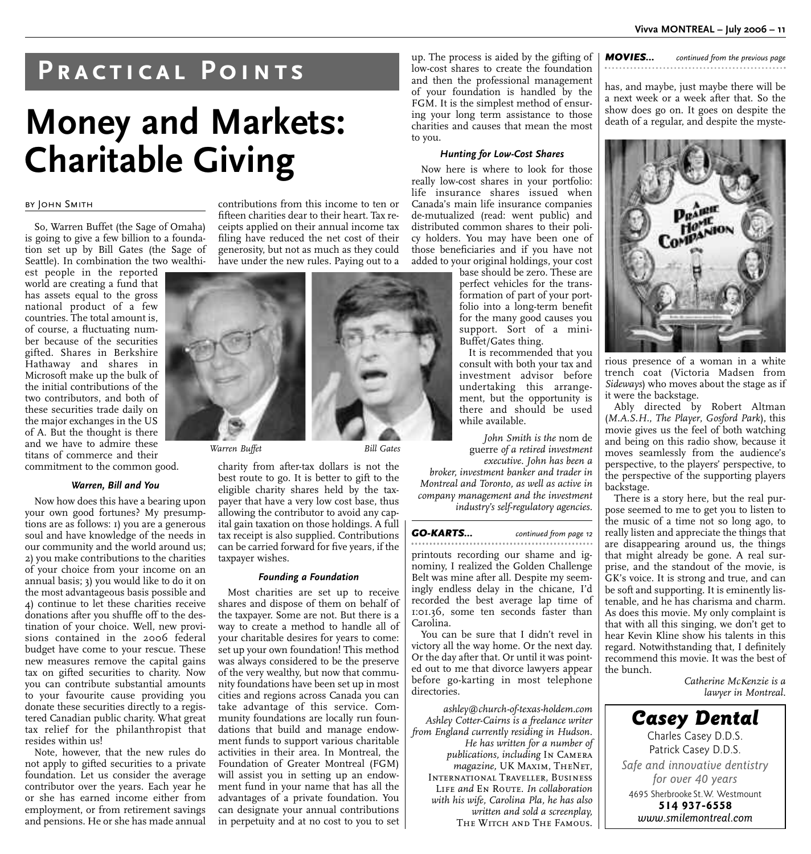## **Practical Points**

## **Money and Markets: Charitable Giving**

#### BY JOHN SMITH

So, Warren Buffet (the Sage of Omaha) is going to give a few billion to a foundation set up by Bill Gates (the Sage of Seattle). In combination the two wealthi-

est people in the reported world are creating a fund that has assets equal to the gross national product of a few countries. The total amount is, of course, a fluctuating number because of the securities gifted. Shares in Berkshire Hathaway and shares in Microsoft make up the bulk of the initial contributions of the two contributors, and both of these securities trade daily on the major exchanges in the US of A. But the thought is there and we have to admire these titans of commerce and their commitment to the common good.

#### *Warren, Bill and You*

Now how does this have a bearing upon your own good fortunes? My presumptions are as follows: 1) you are a generous soul and have knowledge of the needs in our community and the world around us; 2) you make contributions to the charities of your choice from your income on an annual basis; 3) you would like to do it on the most advantageous basis possible and 4) continue to let these charities receive donations after you shuffle off to the destination of your choice. Well, new provisions contained in the 2006 federal budget have come to your rescue. These new measures remove the capital gains tax on gifted securities to charity. Now you can contribute substantial amounts to your favourite cause providing you donate these securities directly to a registered Canadian public charity. What great tax relief for the philanthropist that resides within us!

Note, however, that the new rules do not apply to gifted securities to a private foundation. Let us consider the average contributor over the years. Each year he or she has earned income either from employment, or from retirement savings and pensions. He or she has made annual

contributions from this income to ten or fifteen charities dear to their heart. Tax receipts applied on their annual income tax filing have reduced the net cost of their generosity, but not as much as they could have under the new rules. Paying out to a



charity from after-tax dollars is not the best route to go. It is better to gift to the eligible charity shares held by the taxpayer that have a very low cost base, thus allowing the contributor to avoid any capital gain taxation on those holdings. A full tax receipt is also supplied. Contributions can be carried forward for five years, if the taxpayer wishes.

#### *Founding a Foundation*

Most charities are set up to receive shares and dispose of them on behalf of the taxpayer. Some are not. But there is a way to create a method to handle all of your charitable desires for years to come: set up your own foundation! This method was always considered to be the preserve of the very wealthy, but now that community foundations have been set up in most cities and regions across Canada you can take advantage of this service. Community foundations are locally run foundations that build and manage endowment funds to support various charitable activities in their area. In Montreal, the Foundation of Greater Montreal (FGM) will assist you in setting up an endowment fund in your name that has all the advantages of a private foundation. You can designate your annual contributions in perpetuity and at no cost to you to set up. The process is aided by the gifting of low-cost shares to create the foundation and then the professional management of your foundation is handled by the FGM. It is the simplest method of ensuring your long term assistance to those charities and causes that mean the most to you.

#### *Hunting for Low-Cost Shares*

Now here is where to look for those really low-cost shares in your portfolio: life insurance shares issued when Canada's main life insurance companies de-mutualized (read: went public) and distributed common shares to their policy holders. You may have been one of those beneficiaries and if you have not added to your original holdings, your cost

base should be zero. These are perfect vehicles for the transformation of part of your portfolio into a long-term benefit for the many good causes you support. Sort of a mini-Buffet/Gates thing.

It is recommended that you consult with both your tax and investment advisor before undertaking this arrangement, but the opportunity is there and should be used while available.

*John Smith is the* nom de guerre *of a retired investment executive. John has been a*

*broker, investment banker and trader in Montreal and Toronto, as well as active in company management and the investment industry's self-regulatory agencies.* 

#### *GO-KARTS... continued from page 12*

printouts recording our shame and ignominy, I realized the Golden Challenge Belt was mine after all. Despite my seemingly endless delay in the chicane, I'd recorded the best average lap time of 1:01.36, some ten seconds faster than Carolina.

You can be sure that I didn't revel in victory all the way home. Or the next day. Or the day after that. Or until it was pointed out to me that divorce lawyers appear before go-karting in most telephone directories.

*ashley@church-of-texas-holdem.com Ashley Cotter-Cairns is a freelance writer from England currently residing in Hudson. He has written for a number of publications, including* In Camera *magazine,* UK Maxim, TheNet, International Traveller, Business LIFE *and* EN ROUTE. In collaboration *with his wife, Carolina Pla, he has also written and sold a screenplay,* THE WITCH AND THE FAMOUS.

*MOVIES... continued from the previous page* . . . . . . . . . . . . .

has, and maybe, just maybe there will be a next week or a week after that. So the show does go on. It goes on despite the death of a regular, and despite the myste-



rious presence of a woman in a white trench coat (Victoria Madsen from *Sideways*) who moves about the stage as if it were the backstage.

Ably directed by Robert Altman (*M.A.S.H.*, *The Player*, *Gosford Park*), this movie gives us the feel of both watching and being on this radio show, because it moves seamlessly from the audience's perspective, to the players' perspective, to the perspective of the supporting players backstage.

There is a story here, but the real purpose seemed to me to get you to listen to the music of a time not so long ago, to really listen and appreciate the things that are disappearing around us, the things that might already be gone. A real surprise, and the standout of the movie, is GK's voice. It is strong and true, and can be soft and supporting. It is eminently listenable, and he has charisma and charm. As does this movie. My only complaint is that with all this singing, we don't get to hear Kevin Kline show his talents in this regard. Notwithstanding that, I definitely recommend this movie. It was the best of the bunch.

> *Catherine McKenzie is a lawyer in Montreal.*

*Casey Dental* Charles Casey D.D.S. Patrick Casey D.D.S. *Safe and innovative dentistry for over 40 years* 4695 Sherbrooke St.W. Westmount **514 937-6558** *www.smilemontreal.com*